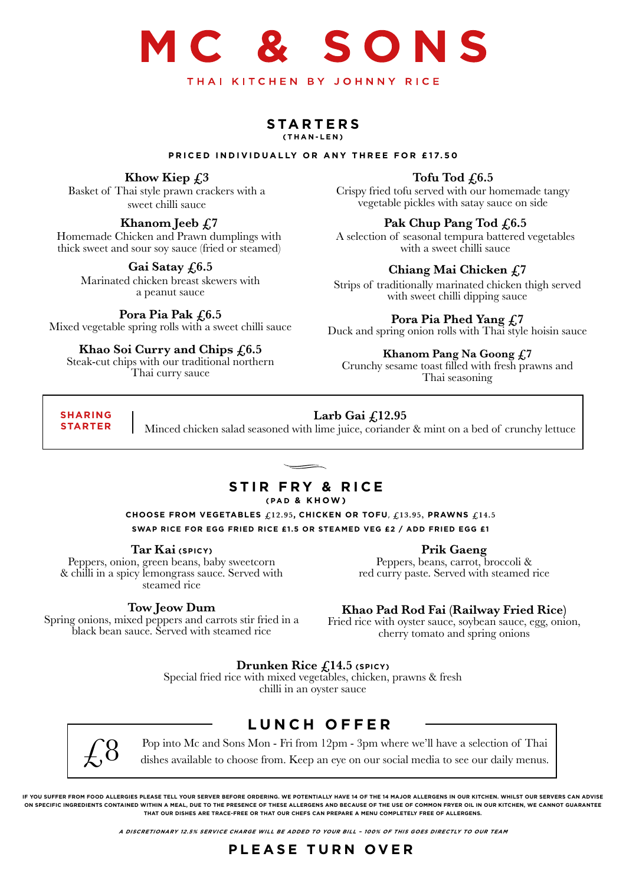## SONS THAI KITCHEN BY JOHNNY RICE

#### **STARTERS (THAN-LEN)**

#### **PRICED INDIVIDUALLY OR ANY THREE FOR £17.50**

#### **Khow Kiep £3**

Basket of Thai style prawn crackers with a sweet chilli sauce

#### **Khanom Jeeb £7**

Homemade Chicken and Prawn dumplings with thick sweet and sour soy sauce (fried or steamed)

#### Gai Satay £6.5

Marinated chicken breast skewers with a peanut sauce

#### Pora Pia Pak  $f<sub>0.5</sub>$

Mixed vegetable spring rolls with a sweet chilli sauce

#### **Khao Soi Curry and Chips £6.5**

Steak-cut chips with our traditional northern Thai curry sauce

#### Tofu Tod  $f(6.5)$

Crispy fried tofu served with our homemade tangy vegetable pickles with satay sauce on side

#### Pak Chup Pang Tod £6.5

A selection of seasonal tempura battered vegetables with a sweet chilli sauce

#### **Chiang Mai Chicken £7**

Strips of traditionally marinated chicken thigh served with sweet chilli dipping sauce

#### **Pora Pia Phed Yang £7**

Duck and spring onion rolls with Thai style hoisin sauce

#### **Khanom Pang Na Goong £7**

Crunchy sesame toast filled with fresh prawns and Thai seasoning

#### **SHARING STARTER**

#### **Larb Gai £12.95**

Minced chicken salad seasoned with lime juice, coriander & mint on a bed of crunchy lettuce

#### **STIR FRY & RICE**

#### **(PAD & KHOW)**

**CHOOSE FROM VEGETABLES £12.95, CHICKEN OR TOFU**, **£13.95, PRAWNS £14.5 SWAP RICE FOR EGG FRIED RICE £1.5 OR STEAMED VEG £2 / ADD FRIED EGG £1** 

#### **Tar Kai (SPICY)**

Peppers, onion, green beans, baby sweetcorn & chilli in a spicy lemongrass sauce. Served with steamed rice

#### **Tow Jeow Dum**

Spring onions, mixed peppers and carrots stir fried in a black bean sauce. Served with steamed rice

red curry paste. Served with steamed rice

#### **Khao Pad Rod Fai (Railway Fried Rice)**

Fried rice with oyster sauce, soybean sauce, egg, onion, cherry tomato and spring onions

#### **Drunken Rice £14.5 (SPICY)**

Special fried rice with mixed vegetables, chicken, prawns & fresh chilli in an oyster sauce

#### **LUNCH OFFER**



Pop into Mc and Sons Mon - Fri from 12pm - 3pm where we'll have a selection of Thai dishes available to choose from. Keep an eye on our social media to see our daily menus.

**IF YOU SUFFER FROM FOOD ALLERGIES PLEASE TELL YOUR SERVER BEFORE ORDERING. WE POTENTIALLY HAVE 14 OF THE 14 MAJOR ALLERGENS IN OUR KITCHEN. WHILST OUR SERVERS CAN ADVISE ON SPECIFIC INGREDIENTS CONTAINED WITHIN A MEAL, DUE TO THE PRESENCE OF THESE ALLERGENS AND BECAUSE OF THE USE OF COMMON FRYER OIL IN OUR KITCHEN, WE CANNOT GUARANTEE THAT OUR DISHES ARE TRACE-FREE OR THAT OUR CHEFS CAN PREPARE A MENU COMPLETELY FREE OF ALLERGENS.**

**A DISCRETIONARY 12.5% SERVICE CHARGE WILL BE ADDED TO YOUR BILL – 100% OF THIS GOES DIRECTLY TO OUR TEAM**

#### **PLEASE TURN OVER**

**Prik Gaeng**

Peppers, beans, carrot, broccoli &